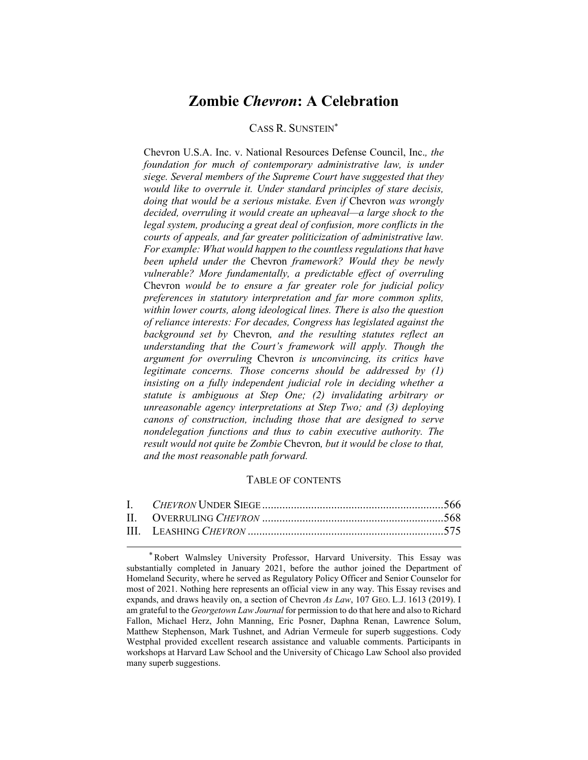# **Zombie** *Chevron***: A Celebration**

# CASS R. SUNSTEIN\*

Chevron U.S.A. Inc. v. National Resources Defense Council, Inc.*, the foundation for much of contemporary administrative law, is under siege. Several members of the Supreme Court have suggested that they would like to overrule it. Under standard principles of stare decisis, doing that would be a serious mistake. Even if Chevron was wrongly decided, overruling it would create an upheaval—a large shock to the legal system, producing a great deal of confusion, more conflicts in the courts of appeals, and far greater politicization of administrative law. For example: What would happen to the countless regulations that have been upheld under the* Chevron *framework? Would they be newly vulnerable? More fundamentally, a predictable effect of overruling*  Chevron *would be to ensure a far greater role for judicial policy preferences in statutory interpretation and far more common splits, within lower courts, along ideological lines. There is also the question of reliance interests: For decades, Congress has legislated against the background set by* Chevron*, and the resulting statutes reflect an understanding that the Court's framework will apply. Though the argument for overruling* Chevron *is unconvincing, its critics have legitimate concerns. Those concerns should be addressed by (1) insisting on a fully independent judicial role in deciding whether a statute is ambiguous at Step One; (2) invalidating arbitrary or unreasonable agency interpretations at Step Two; and (3) deploying canons of construction, including those that are designed to serve nondelegation functions and thus to cabin executive authority. The result would not quite be Zombie* Chevron*, but it would be close to that, and the most reasonable path forward.* 

# TABLE OF CONTENTS

<sup>\*</sup> Robert Walmsley University Professor, Harvard University. This Essay was substantially completed in January 2021, before the author joined the Department of Homeland Security, where he served as Regulatory Policy Officer and Senior Counselor for most of 2021. Nothing here represents an official view in any way. This Essay revises and expands, and draws heavily on, a section of Chevron *As Law*, 107 GEO. L.J. 1613 (2019). I am grateful to the *Georgetown Law Journal* for permission to do that here and also to Richard Fallon, Michael Herz, John Manning, Eric Posner, Daphna Renan, Lawrence Solum, Matthew Stephenson, Mark Tushnet, and Adrian Vermeule for superb suggestions. Cody Westphal provided excellent research assistance and valuable comments. Participants in workshops at Harvard Law School and the University of Chicago Law School also provided many superb suggestions.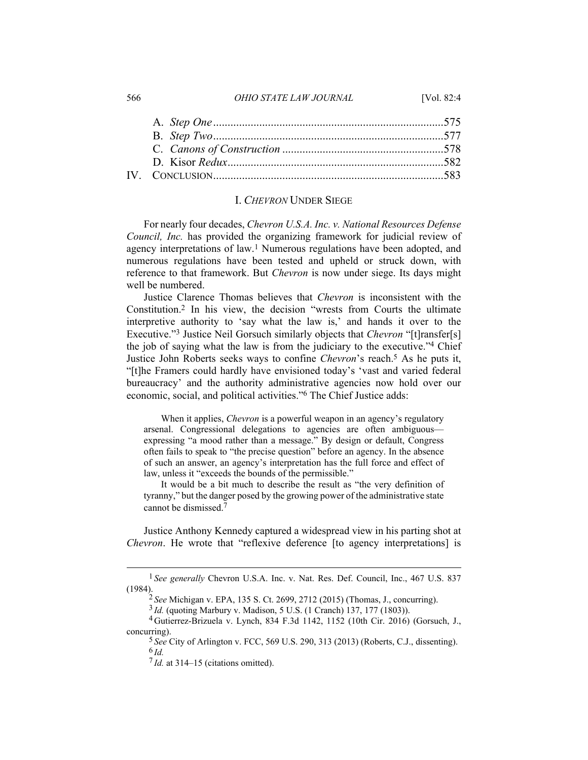#### I. *CHEVRON* UNDER SIEGE

For nearly four decades, *Chevron U.S.A. Inc. v. National Resources Defense Council, Inc.* has provided the organizing framework for judicial review of agency interpretations of law.1 Numerous regulations have been adopted, and numerous regulations have been tested and upheld or struck down, with reference to that framework. But *Chevron* is now under siege. Its days might well be numbered.

Justice Clarence Thomas believes that *Chevron* is inconsistent with the Constitution.2 In his view, the decision "wrests from Courts the ultimate interpretive authority to 'say what the law is,' and hands it over to the Executive."3 Justice Neil Gorsuch similarly objects that *Chevron* "[t]ransfer[s] the job of saying what the law is from the judiciary to the executive."4 Chief Justice John Roberts seeks ways to confine *Chevron*'s reach.5 As he puts it, "[t]he Framers could hardly have envisioned today's 'vast and varied federal bureaucracy' and the authority administrative agencies now hold over our economic, social, and political activities."6 The Chief Justice adds:

When it applies, *Chevron* is a powerful weapon in an agency's regulatory arsenal. Congressional delegations to agencies are often ambiguous expressing "a mood rather than a message." By design or default, Congress often fails to speak to "the precise question" before an agency. In the absence of such an answer, an agency's interpretation has the full force and effect of law, unless it "exceeds the bounds of the permissible."

It would be a bit much to describe the result as "the very definition of tyranny," but the danger posed by the growing power of the administrative state cannot be dismissed.7

Justice Anthony Kennedy captured a widespread view in his parting shot at *Chevron*. He wrote that "reflexive deference [to agency interpretations] is

<sup>566</sup> *OHIO STATE LAW JOURNAL* [Vol. 82:4

<sup>&</sup>lt;sup>1</sup> See generally Chevron U.S.A. Inc. v. Nat. Res. Def. Council, Inc., 467 U.S. 837 (1984).

<sup>2</sup> *See* Michigan v. EPA, 135 S. Ct. 2699, 2712 (2015) (Thomas, J., concurring).

<sup>3</sup> *Id.* (quoting Marbury v. Madison, 5 U.S. (1 Cranch) 137, 177 (1803)).

<sup>4</sup> Gutierrez-Brizuela v. Lynch, 834 F.3d 1142, 1152 (10th Cir. 2016) (Gorsuch, J., concurring).

<sup>5</sup> *See* City of Arlington v. FCC, 569 U.S. 290, 313 (2013) (Roberts, C.J., dissenting). 6 *Id.*

 $7$  *Id.* at 314–15 (citations omitted).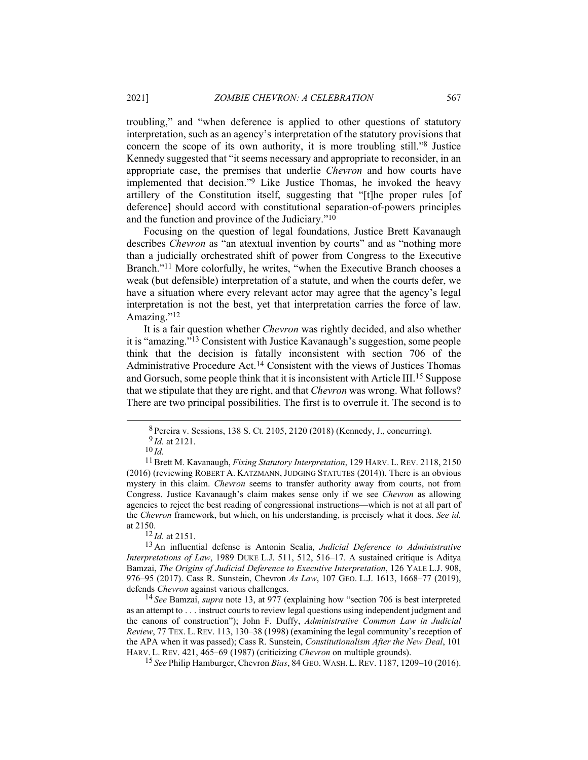troubling," and "when deference is applied to other questions of statutory interpretation, such as an agency's interpretation of the statutory provisions that concern the scope of its own authority, it is more troubling still."8 Justice Kennedy suggested that "it seems necessary and appropriate to reconsider, in an appropriate case, the premises that underlie *Chevron* and how courts have implemented that decision."9 Like Justice Thomas, he invoked the heavy artillery of the Constitution itself, suggesting that "[t]he proper rules [of deference] should accord with constitutional separation-of-powers principles and the function and province of the Judiciary."10

Focusing on the question of legal foundations, Justice Brett Kavanaugh describes *Chevron* as "an atextual invention by courts" and as "nothing more than a judicially orchestrated shift of power from Congress to the Executive Branch."<sup>11</sup> More colorfully, he writes, "when the Executive Branch chooses a weak (but defensible) interpretation of a statute, and when the courts defer, we have a situation where every relevant actor may agree that the agency's legal interpretation is not the best, yet that interpretation carries the force of law. Amazing."<sup>12</sup>

It is a fair question whether *Chevron* was rightly decided, and also whether it is "amazing."13 Consistent with Justice Kavanaugh's suggestion, some people think that the decision is fatally inconsistent with section 706 of the Administrative Procedure Act.14 Consistent with the views of Justices Thomas and Gorsuch, some people think that it is inconsistent with Article III.15 Suppose that we stipulate that they are right, and that *Chevron* was wrong. What follows? There are two principal possibilities. The first is to overrule it. The second is to

<sup>10</sup> *Id.* 11 Brett M. Kavanaugh, *Fixing Statutory Interpretation*, 129 HARV. L. REV. 2118, 2150 (2016) (reviewing ROBERT A. KATZMANN, JUDGING STATUTES (2014)). There is an obvious mystery in this claim. *Chevron* seems to transfer authority away from courts, not from Congress. Justice Kavanaugh's claim makes sense only if we see *Chevron* as allowing agencies to reject the best reading of congressional instructions—which is not at all part of the *Chevron* framework, but which, on his understanding, is precisely what it does. *See id.* at 2150.

12 *Id.* at 2151.

13 An influential defense is Antonin Scalia, *Judicial Deference to Administrative Interpretations of Law*, 1989 DUKE L.J. 511, 512, 516–17. A sustained critique is Aditya Bamzai, *The Origins of Judicial Deference to Executive Interpretation*, 126 YALE L.J. 908, 976–95 (2017). Cass R. Sunstein, Chevron *As Law*, 107 GEO. L.J. 1613, 1668–77 (2019), defends *Chevron* against various challenges.

14 *See* Bamzai, *supra* note 13, at 977 (explaining how "section 706 is best interpreted as an attempt to . . . instruct courts to review legal questions using independent judgment and the canons of construction"); John F. Duffy, *Administrative Common Law in Judicial Review*, 77 TEX. L. REV. 113, 130–38 (1998) (examining the legal community's reception of the APA when it was passed); Cass R. Sunstein, *Constitutionalism After the New Deal*, 101 HARV. L. REV. 421, 465–69 (1987) (criticizing *Chevron* on multiple grounds).

15 *See* Philip Hamburger, Chevron *Bias*, 84 GEO. WASH. L.REV. 1187, 1209–10 (2016).

<sup>8</sup> Pereira v. Sessions, 138 S. Ct. 2105, 2120 (2018) (Kennedy, J., concurring). <sup>9</sup>*Id.* at 2121.<br><sup>10</sup>*Id.*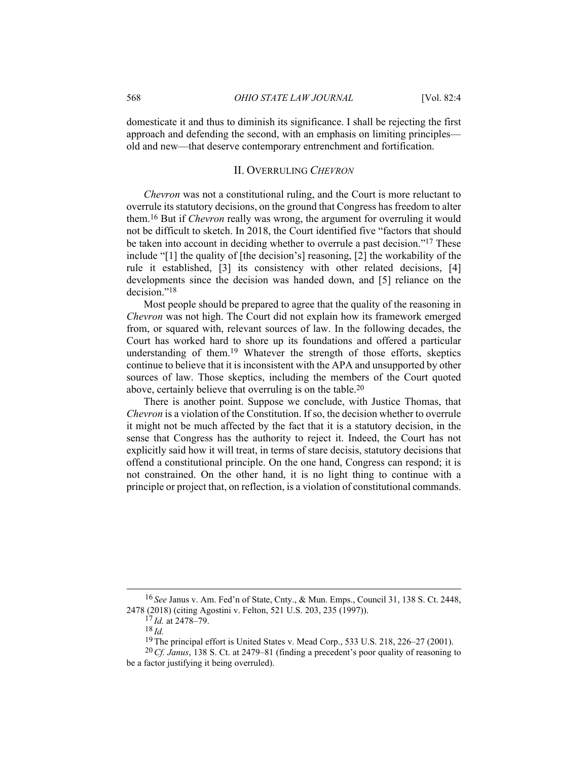domesticate it and thus to diminish its significance. I shall be rejecting the first approach and defending the second, with an emphasis on limiting principles old and new—that deserve contemporary entrenchment and fortification.

## II. OVERRULING *CHEVRON*

*Chevron* was not a constitutional ruling, and the Court is more reluctant to overrule its statutory decisions, on the ground that Congress has freedom to alter them.16 But if *Chevron* really was wrong, the argument for overruling it would not be difficult to sketch. In 2018, the Court identified five "factors that should be taken into account in deciding whether to overrule a past decision."17 These include "[1] the quality of [the decision's] reasoning, [2] the workability of the rule it established, [3] its consistency with other related decisions, [4] developments since the decision was handed down, and [5] reliance on the decision."18

Most people should be prepared to agree that the quality of the reasoning in *Chevron* was not high. The Court did not explain how its framework emerged from, or squared with, relevant sources of law. In the following decades, the Court has worked hard to shore up its foundations and offered a particular understanding of them.19 Whatever the strength of those efforts, skeptics continue to believe that it is inconsistent with the APA and unsupported by other sources of law. Those skeptics, including the members of the Court quoted above, certainly believe that overruling is on the table.20

There is another point. Suppose we conclude, with Justice Thomas, that *Chevron* is a violation of the Constitution. If so, the decision whether to overrule it might not be much affected by the fact that it is a statutory decision, in the sense that Congress has the authority to reject it. Indeed, the Court has not explicitly said how it will treat, in terms of stare decisis, statutory decisions that offend a constitutional principle. On the one hand, Congress can respond; it is not constrained. On the other hand, it is no light thing to continue with a principle or project that, on reflection, is a violation of constitutional commands.

<sup>16</sup> *See* Janus v. Am. Fed'n of State, Cnty., & Mun. Emps., Council 31, 138 S. Ct. 2448, 2478 (2018) (citing Agostini v. Felton, 521 U.S. 203, 235 (1997)).

<sup>17</sup> *Id.* at 2478–79.

<sup>18</sup> *Id.*

<sup>19</sup> The principal effort is United States v. Mead Corp., 533 U.S. 218, 226–27 (2001).

<sup>20</sup>*Cf. Janus*, 138 S. Ct. at 2479–81 (finding a precedent's poor quality of reasoning to be a factor justifying it being overruled).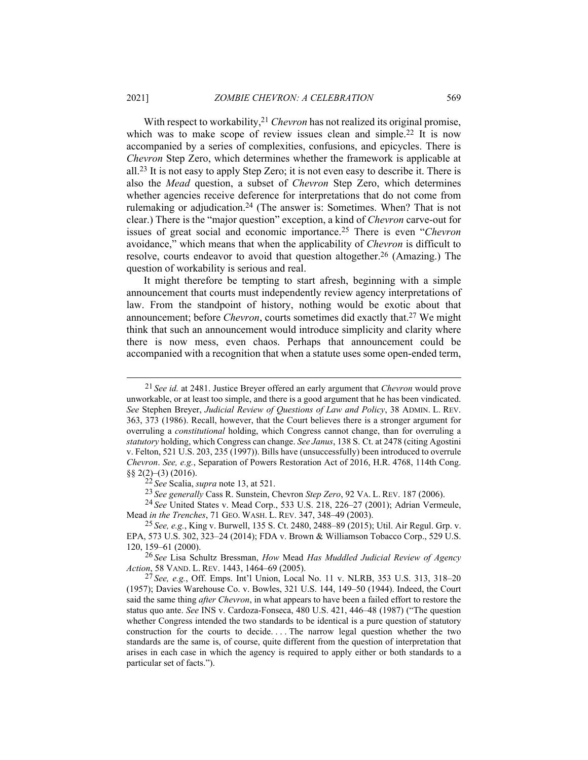With respect to workability,<sup>21</sup> *Chevron* has not realized its original promise, which was to make scope of review issues clean and simple.<sup>22</sup> It is now accompanied by a series of complexities, confusions, and epicycles. There is *Chevron* Step Zero, which determines whether the framework is applicable at all.23 It is not easy to apply Step Zero; it is not even easy to describe it. There is also the *Mead* question, a subset of *Chevron* Step Zero, which determines whether agencies receive deference for interpretations that do not come from rulemaking or adjudication.24 (The answer is: Sometimes. When? That is not clear.) There is the "major question" exception, a kind of *Chevron* carve-out for issues of great social and economic importance.25 There is even "*Chevron* avoidance," which means that when the applicability of *Chevron* is difficult to resolve, courts endeavor to avoid that question altogether.26 (Amazing.) The question of workability is serious and real.

It might therefore be tempting to start afresh, beginning with a simple announcement that courts must independently review agency interpretations of law. From the standpoint of history, nothing would be exotic about that announcement; before *Chevron*, courts sometimes did exactly that.27 We might think that such an announcement would introduce simplicity and clarity where there is now mess, even chaos. Perhaps that announcement could be accompanied with a recognition that when a statute uses some open-ended term,

22 *See* Scalia, *supra* note 13, at 521.

23 *See generally* Cass R. Sunstein, Chevron *Step Zero*, 92 VA. L. REV. 187 (2006).

24 *See* United States v. Mead Corp., 533 U.S. 218, 226–27 (2001); Adrian Vermeule, Mead *in the Trenches*, 71 GEO. WASH. L. REV. 347, 348–49 (2003).

25 *See, e.g.*, King v. Burwell, 135 S. Ct. 2480, 2488–89 (2015); Util. Air Regul. Grp. v. EPA, 573 U.S. 302, 323–24 (2014); FDA v. Brown & Williamson Tobacco Corp., 529 U.S. 120, 159–61 (2000).

26 *See* Lisa Schultz Bressman, *How* Mead *Has Muddled Judicial Review of Agency Action*, 58 VAND. L. REV. 1443, 1464–69 (2005).

27 *See, e.g.*, Off. Emps. Int'l Union, Local No. 11 v. NLRB, 353 U.S. 313, 318–20 (1957); Davies Warehouse Co. v. Bowles, 321 U.S. 144, 149–50 (1944). Indeed, the Court said the same thing *after Chevron*, in what appears to have been a failed effort to restore the status quo ante. *See* INS v. Cardoza-Fonseca, 480 U.S. 421, 446–48 (1987) ("The question whether Congress intended the two standards to be identical is a pure question of statutory construction for the courts to decide. . . . The narrow legal question whether the two standards are the same is, of course, quite different from the question of interpretation that arises in each case in which the agency is required to apply either or both standards to a particular set of facts.").

<sup>21</sup> *See id.* at 2481. Justice Breyer offered an early argument that *Chevron* would prove unworkable, or at least too simple, and there is a good argument that he has been vindicated. *See* Stephen Breyer, *Judicial Review of Questions of Law and Policy*, 38 ADMIN. L. REV. 363, 373 (1986). Recall, however, that the Court believes there is a stronger argument for overruling a *constitutional* holding, which Congress cannot change, than for overruling a *statutory* holding, which Congress can change. *See Janus*, 138 S. Ct. at 2478 (citing Agostini v. Felton, 521 U.S. 203, 235 (1997)). Bills have (unsuccessfully) been introduced to overrule *Chevron*. *See, e.g.*, Separation of Powers Restoration Act of 2016, H.R. 4768, 114th Cong. §§ 2(2)–(3) (2016).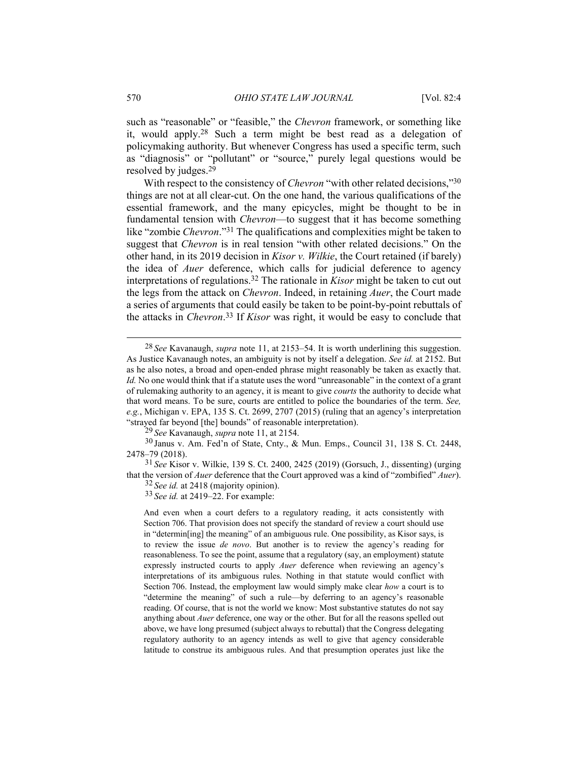such as "reasonable" or "feasible," the *Chevron* framework, or something like it, would apply.28 Such a term might be best read as a delegation of policymaking authority. But whenever Congress has used a specific term, such as "diagnosis" or "pollutant" or "source," purely legal questions would be resolved by judges.29

With respect to the consistency of *Chevron* "with other related decisions,"30 things are not at all clear-cut. On the one hand, the various qualifications of the essential framework, and the many epicycles, might be thought to be in fundamental tension with *Chevron*—to suggest that it has become something like "zombie *Chevron*."31 The qualifications and complexities might be taken to suggest that *Chevron* is in real tension "with other related decisions." On the other hand, in its 2019 decision in *Kisor v. Wilkie*, the Court retained (if barely) the idea of *Auer* deference, which calls for judicial deference to agency interpretations of regulations.32 The rationale in *Kisor* might be taken to cut out the legs from the attack on *Chevron*. Indeed, in retaining *Auer*, the Court made a series of arguments that could easily be taken to be point-by-point rebuttals of the attacks in *Chevron*. 33 If *Kisor* was right, it would be easy to conclude that

29 *See* Kavanaugh, *supra* note 11, at 2154.

30 Janus v. Am. Fed'n of State, Cnty., & Mun. Emps., Council 31, 138 S. Ct. 2448, 2478–79 (2018).

31 *See* Kisor v. Wilkie, 139 S. Ct. 2400, 2425 (2019) (Gorsuch, J., dissenting) (urging that the version of *Auer* deference that the Court approved was a kind of "zombified" *Auer*). 32 *See id.* at 2418 (majority opinion).

33 *See id.* at 2419–22. For example:

And even when a court defers to a regulatory reading, it acts consistently with Section 706. That provision does not specify the standard of review a court should use in "determin[ing] the meaning" of an ambiguous rule. One possibility, as Kisor says, is to review the issue *de novo*. But another is to review the agency's reading for reasonableness. To see the point, assume that a regulatory (say, an employment) statute expressly instructed courts to apply *Auer* deference when reviewing an agency's interpretations of its ambiguous rules. Nothing in that statute would conflict with Section 706. Instead, the employment law would simply make clear *how* a court is to "determine the meaning" of such a rule—by deferring to an agency's reasonable reading. Of course, that is not the world we know: Most substantive statutes do not say anything about *Auer* deference, one way or the other. But for all the reasons spelled out above, we have long presumed (subject always to rebuttal) that the Congress delegating regulatory authority to an agency intends as well to give that agency considerable latitude to construe its ambiguous rules. And that presumption operates just like the

<sup>28</sup> *See* Kavanaugh, *supra* note 11, at 2153–54. It is worth underlining this suggestion. As Justice Kavanaugh notes, an ambiguity is not by itself a delegation. *See id.* at 2152. But as he also notes, a broad and open-ended phrase might reasonably be taken as exactly that. *Id.* No one would think that if a statute uses the word "unreasonable" in the context of a grant of rulemaking authority to an agency, it is meant to give *courts* the authority to decide what that word means. To be sure, courts are entitled to police the boundaries of the term. *See, e.g.*, Michigan v. EPA, 135 S. Ct. 2699, 2707 (2015) (ruling that an agency's interpretation "strayed far beyond [the] bounds" of reasonable interpretation).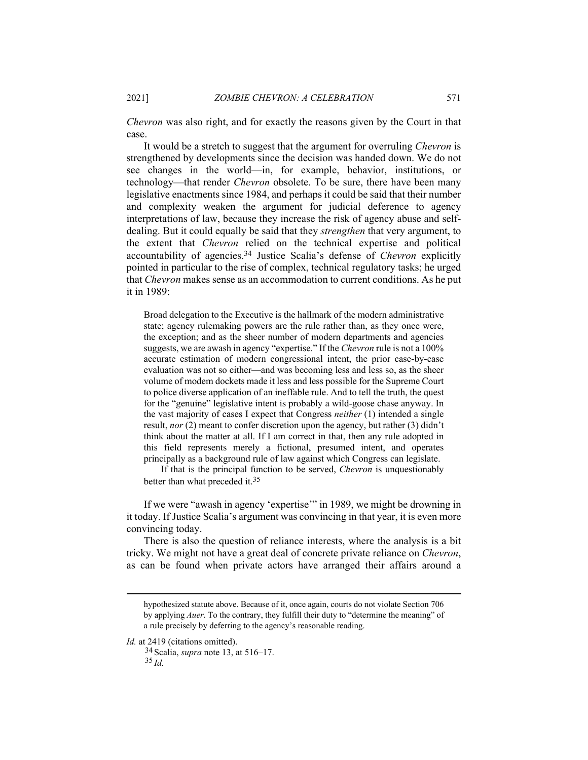*Chevron* was also right, and for exactly the reasons given by the Court in that case.

It would be a stretch to suggest that the argument for overruling *Chevron* is strengthened by developments since the decision was handed down. We do not see changes in the world—in, for example, behavior, institutions, or technology—that render *Chevron* obsolete. To be sure, there have been many legislative enactments since 1984, and perhaps it could be said that their number and complexity weaken the argument for judicial deference to agency interpretations of law, because they increase the risk of agency abuse and selfdealing. But it could equally be said that they *strengthen* that very argument, to the extent that *Chevron* relied on the technical expertise and political accountability of agencies.34 Justice Scalia's defense of *Chevron* explicitly pointed in particular to the rise of complex, technical regulatory tasks; he urged that *Chevron* makes sense as an accommodation to current conditions. As he put it in 1989:

Broad delegation to the Executive is the hallmark of the modern administrative state; agency rulemaking powers are the rule rather than, as they once were, the exception; and as the sheer number of modern departments and agencies suggests, we are awash in agency "expertise." If the *Chevron* rule is not a 100% accurate estimation of modern congressional intent, the prior case-by-case evaluation was not so either—and was becoming less and less so, as the sheer volume of modem dockets made it less and less possible for the Supreme Court to police diverse application of an ineffable rule. And to tell the truth, the quest for the "genuine" legislative intent is probably a wild-goose chase anyway. In the vast majority of cases I expect that Congress *neither* (1) intended a single result, *nor* (2) meant to confer discretion upon the agency, but rather (3) didn't think about the matter at all. If I am correct in that, then any rule adopted in this field represents merely a fictional, presumed intent, and operates principally as a background rule of law against which Congress can legislate.

If that is the principal function to be served, *Chevron* is unquestionably better than what preceded it.<sup>35</sup>

If we were "awash in agency 'expertise'" in 1989, we might be drowning in it today. If Justice Scalia's argument was convincing in that year, it is even more convincing today.

There is also the question of reliance interests, where the analysis is a bit tricky. We might not have a great deal of concrete private reliance on *Chevron*, as can be found when private actors have arranged their affairs around a

Id. at 2419 (citations omitted).

34 Scalia, *supra* note 13, at 516–17.

35 *Id.*

hypothesized statute above. Because of it, once again, courts do not violate Section 706 by applying *Auer*. To the contrary, they fulfill their duty to "determine the meaning" of a rule precisely by deferring to the agency's reasonable reading.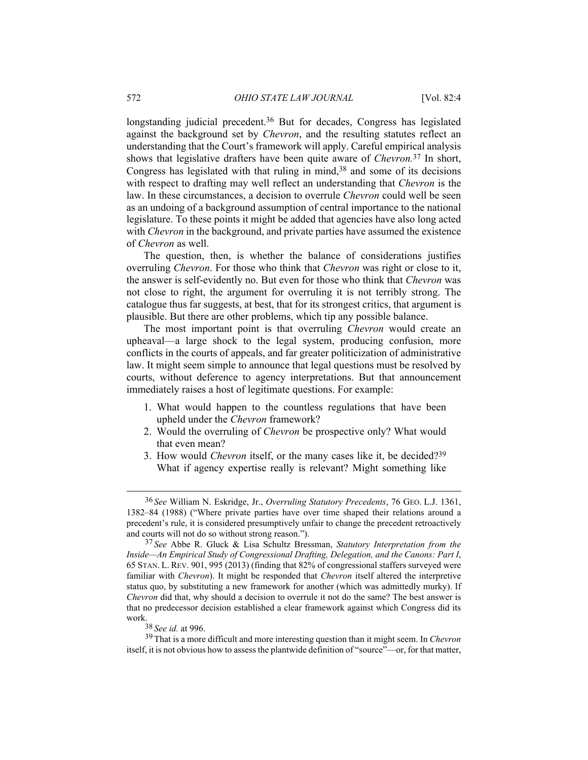longstanding judicial precedent.<sup>36</sup> But for decades, Congress has legislated against the background set by *Chevron*, and the resulting statutes reflect an understanding that the Court's framework will apply. Careful empirical analysis shows that legislative drafters have been quite aware of *Chevron.*37 In short, Congress has legislated with that ruling in mind, $38$  and some of its decisions with respect to drafting may well reflect an understanding that *Chevron* is the law. In these circumstances, a decision to overrule *Chevron* could well be seen as an undoing of a background assumption of central importance to the national legislature. To these points it might be added that agencies have also long acted with *Chevron* in the background, and private parties have assumed the existence of *Chevron* as well.

The question, then, is whether the balance of considerations justifies overruling *Chevron*. For those who think that *Chevron* was right or close to it, the answer is self-evidently no. But even for those who think that *Chevron* was not close to right, the argument for overruling it is not terribly strong. The catalogue thus far suggests, at best, that for its strongest critics, that argument is plausible. But there are other problems, which tip any possible balance.

The most important point is that overruling *Chevron* would create an upheaval—a large shock to the legal system, producing confusion, more conflicts in the courts of appeals, and far greater politicization of administrative law. It might seem simple to announce that legal questions must be resolved by courts, without deference to agency interpretations. But that announcement immediately raises a host of legitimate questions. For example:

- 1. What would happen to the countless regulations that have been upheld under the *Chevron* framework?
- 2. Would the overruling of *Chevron* be prospective only? What would that even mean?
- 3. How would *Chevron* itself, or the many cases like it, be decided?39 What if agency expertise really is relevant? Might something like

<sup>36</sup> *See* William N. Eskridge, Jr., *Overruling Statutory Precedents*, 76 GEO. L.J. 1361, 1382–84 (1988) ("Where private parties have over time shaped their relations around a precedent's rule, it is considered presumptively unfair to change the precedent retroactively and courts will not do so without strong reason.").

<sup>37</sup> *See* Abbe R. Gluck & Lisa Schultz Bressman, *Statutory Interpretation from the Inside—An Empirical Study of Congressional Drafting, Delegation, and the Canons: Part I*, 65 STAN. L. REV. 901, 995 (2013) (finding that 82% of congressional staffers surveyed were familiar with *Chevron*). It might be responded that *Chevron* itself altered the interpretive status quo, by substituting a new framework for another (which was admittedly murky). If *Chevron* did that, why should a decision to overrule it not do the same? The best answer is that no predecessor decision established a clear framework against which Congress did its work.

<sup>38</sup> *See id.* at 996.

<sup>39</sup> That is a more difficult and more interesting question than it might seem. In *Chevron* itself, it is not obvious how to assess the plantwide definition of "source"—or, for that matter,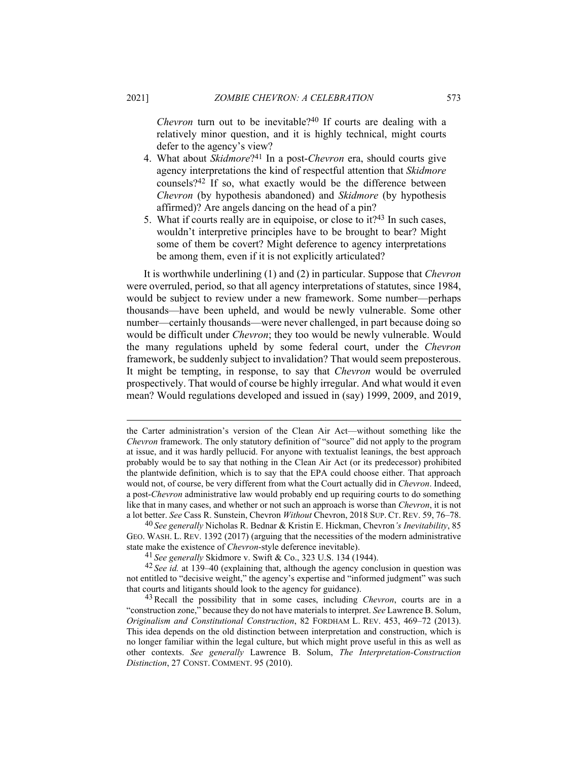*Chevron* turn out to be inevitable?<sup>40</sup> If courts are dealing with a relatively minor question, and it is highly technical, might courts defer to the agency's view?

- 4. What about *Skidmore*?41 In a post-*Chevron* era, should courts give agency interpretations the kind of respectful attention that *Skidmore* counsels?42 If so, what exactly would be the difference between *Chevron* (by hypothesis abandoned) and *Skidmore* (by hypothesis affirmed)? Are angels dancing on the head of a pin?
- 5. What if courts really are in equipoise, or close to it?43 In such cases, wouldn't interpretive principles have to be brought to bear? Might some of them be covert? Might deference to agency interpretations be among them, even if it is not explicitly articulated?

It is worthwhile underlining (1) and (2) in particular. Suppose that *Chevron* were overruled, period, so that all agency interpretations of statutes, since 1984, would be subject to review under a new framework. Some number—perhaps thousands—have been upheld, and would be newly vulnerable. Some other number—certainly thousands—were never challenged, in part because doing so would be difficult under *Chevron*; they too would be newly vulnerable. Would the many regulations upheld by some federal court, under the *Chevron*  framework, be suddenly subject to invalidation? That would seem preposterous. It might be tempting, in response, to say that *Chevron* would be overruled prospectively. That would of course be highly irregular. And what would it even mean? Would regulations developed and issued in (say) 1999, 2009, and 2019,

the Carter administration's version of the Clean Air Act—without something like the *Chevron* framework. The only statutory definition of "source" did not apply to the program at issue, and it was hardly pellucid. For anyone with textualist leanings, the best approach probably would be to say that nothing in the Clean Air Act (or its predecessor) prohibited the plantwide definition, which is to say that the EPA could choose either. That approach would not, of course, be very different from what the Court actually did in *Chevron*. Indeed, a post-*Chevron* administrative law would probably end up requiring courts to do something like that in many cases, and whether or not such an approach is worse than *Chevron*, it is not a lot better. *See* Cass R. Sunstein, Chevron *Without* Chevron, 2018 SUP. CT. REV. 59, 76–78.

<sup>40</sup> *See generally* Nicholas R. Bednar & Kristin E. Hickman, Chevron*'s Inevitability*, 85 GEO. WASH. L. REV. 1392 (2017) (arguing that the necessities of the modern administrative state make the existence of *Chevron*-style deference inevitable).

<sup>41</sup> *See generally* Skidmore v. Swift & Co., 323 U.S. 134 (1944).

<sup>42</sup> *See id.* at 139–40 (explaining that, although the agency conclusion in question was not entitled to "decisive weight," the agency's expertise and "informed judgment" was such that courts and litigants should look to the agency for guidance).

<sup>43</sup> Recall the possibility that in some cases, including *Chevron*, courts are in a "construction zone," because they do not have materials to interpret. *See* Lawrence B. Solum, *Originalism and Constitutional Construction*, 82 FORDHAM L. REV. 453, 469–72 (2013). This idea depends on the old distinction between interpretation and construction, which is no longer familiar within the legal culture, but which might prove useful in this as well as other contexts. *See generally* Lawrence B. Solum, *The Interpretation-Construction Distinction*, 27 CONST. COMMENT. 95 (2010).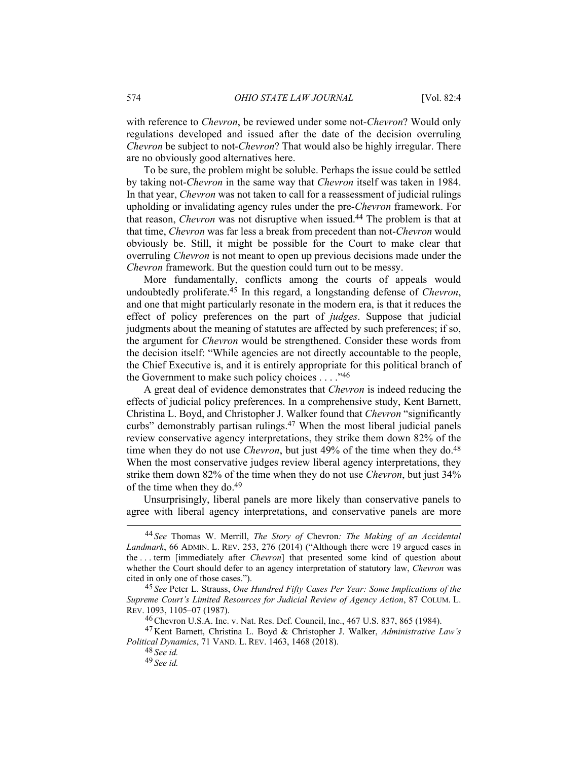with reference to *Chevron*, be reviewed under some not-*Chevron*? Would only regulations developed and issued after the date of the decision overruling *Chevron* be subject to not-*Chevron*? That would also be highly irregular. There are no obviously good alternatives here.

To be sure, the problem might be soluble. Perhaps the issue could be settled by taking not-*Chevron* in the same way that *Chevron* itself was taken in 1984. In that year, *Chevron* was not taken to call for a reassessment of judicial rulings upholding or invalidating agency rules under the pre-*Chevron* framework. For that reason, *Chevron* was not disruptive when issued.44 The problem is that at that time, *Chevron* was far less a break from precedent than not-*Chevron* would obviously be. Still, it might be possible for the Court to make clear that overruling *Chevron* is not meant to open up previous decisions made under the *Chevron* framework. But the question could turn out to be messy.

More fundamentally, conflicts among the courts of appeals would undoubtedly proliferate.45 In this regard, a longstanding defense of *Chevron*, and one that might particularly resonate in the modern era, is that it reduces the effect of policy preferences on the part of *judges*. Suppose that judicial judgments about the meaning of statutes are affected by such preferences; if so, the argument for *Chevron* would be strengthened. Consider these words from the decision itself: "While agencies are not directly accountable to the people, the Chief Executive is, and it is entirely appropriate for this political branch of the Government to make such policy choices  $\dots$ ."<sup>46</sup>

A great deal of evidence demonstrates that *Chevron* is indeed reducing the effects of judicial policy preferences. In a comprehensive study, Kent Barnett, Christina L. Boyd, and Christopher J. Walker found that *Chevron* "significantly curbs" demonstrably partisan rulings.47 When the most liberal judicial panels review conservative agency interpretations, they strike them down 82% of the time when they do not use *Chevron*, but just 49% of the time when they do.<sup>48</sup> When the most conservative judges review liberal agency interpretations, they strike them down 82% of the time when they do not use *Chevron*, but just 34% of the time when they do.49

Unsurprisingly, liberal panels are more likely than conservative panels to agree with liberal agency interpretations, and conservative panels are more

<sup>44</sup> *See* Thomas W. Merrill, *The Story of* Chevron*: The Making of an Accidental Landmark*, 66 ADMIN. L. REV. 253, 276 (2014) ("Although there were 19 argued cases in the . . . term [immediately after *Chevron*] that presented some kind of question about whether the Court should defer to an agency interpretation of statutory law, *Chevron* was cited in only one of those cases.").

<sup>45</sup> *See* Peter L. Strauss, *One Hundred Fifty Cases Per Year: Some Implications of the Supreme Court's Limited Resources for Judicial Review of Agency Action*, 87 COLUM. L. REV. 1093, 1105–07 (1987).

<sup>46</sup> Chevron U.S.A. Inc. v. Nat. Res. Def. Council, Inc., 467 U.S. 837, 865 (1984).

<sup>47</sup> Kent Barnett, Christina L. Boyd & Christopher J. Walker, *Administrative Law's Political Dynamics*, 71 VAND. L. REV. 1463, 1468 (2018).

<sup>48</sup> *See id.* 49 *See id.*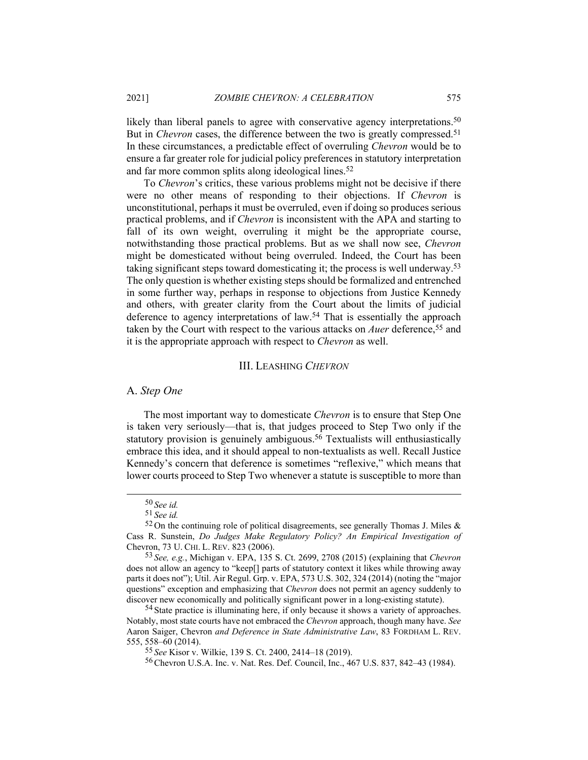likely than liberal panels to agree with conservative agency interpretations.<sup>50</sup> But in *Chevron* cases, the difference between the two is greatly compressed.<sup>51</sup> In these circumstances, a predictable effect of overruling *Chevron* would be to ensure a far greater role for judicial policy preferences in statutory interpretation and far more common splits along ideological lines.52

To *Chevron*'s critics, these various problems might not be decisive if there were no other means of responding to their objections. If *Chevron* is unconstitutional, perhaps it must be overruled, even if doing so produces serious practical problems, and if *Chevron* is inconsistent with the APA and starting to fall of its own weight, overruling it might be the appropriate course, notwithstanding those practical problems. But as we shall now see, *Chevron* might be domesticated without being overruled. Indeed, the Court has been taking significant steps toward domesticating it; the process is well underway.53 The only question is whether existing steps should be formalized and entrenched in some further way, perhaps in response to objections from Justice Kennedy and others, with greater clarity from the Court about the limits of judicial deference to agency interpretations of law.54 That is essentially the approach taken by the Court with respect to the various attacks on *Auer* deference,<sup>55</sup> and it is the appropriate approach with respect to *Chevron* as well.

#### III. LEASHING *CHEVRON*

#### A. *Step One*

The most important way to domesticate *Chevron* is to ensure that Step One is taken very seriously—that is, that judges proceed to Step Two only if the statutory provision is genuinely ambiguous.<sup>56</sup> Textualists will enthusiastically embrace this idea, and it should appeal to non-textualists as well. Recall Justice Kennedy's concern that deference is sometimes "reflexive," which means that lower courts proceed to Step Two whenever a statute is susceptible to more than

<sup>50</sup> *See id.*

<sup>51</sup> *See id.*

 $52$  On the continuing role of political disagreements, see generally Thomas J. Miles & Cass R. Sunstein, *Do Judges Make Regulatory Policy? An Empirical Investigation of*  Chevron, 73 U. CHI. L. REV. 823 (2006).

<sup>53</sup> *See, e.g.*, Michigan v. EPA, 135 S. Ct. 2699, 2708 (2015) (explaining that *Chevron* does not allow an agency to "keep[] parts of statutory context it likes while throwing away parts it does not"); Util. Air Regul. Grp. v. EPA, 573 U.S. 302, 324 (2014) (noting the "major questions" exception and emphasizing that *Chevron* does not permit an agency suddenly to discover new economically and politically significant power in a long-existing statute).

<sup>&</sup>lt;sup>54</sup> State practice is illuminating here, if only because it shows a variety of approaches. Notably, most state courts have not embraced the *Chevron* approach, though many have. *See* Aaron Saiger, Chevron *and Deference in State Administrative Law*, 83 FORDHAM L. REV. 555, 558–60 (2014).

<sup>55</sup> *See* Kisor v. Wilkie, 139 S. Ct. 2400, 2414–18 (2019).

<sup>56</sup> Chevron U.S.A. Inc. v. Nat. Res. Def. Council, Inc., 467 U.S. 837, 842–43 (1984).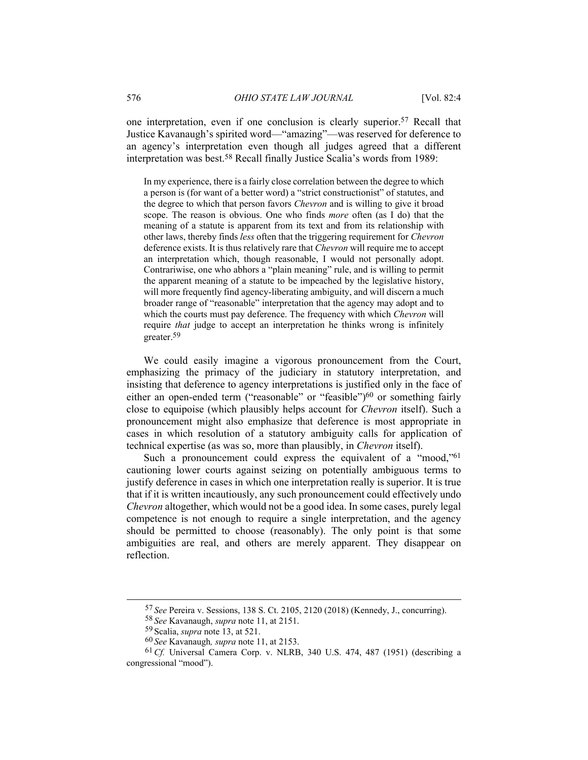one interpretation, even if one conclusion is clearly superior.57 Recall that Justice Kavanaugh's spirited word—"amazing"—was reserved for deference to an agency's interpretation even though all judges agreed that a different interpretation was best.58 Recall finally Justice Scalia's words from 1989:

In my experience, there is a fairly close correlation between the degree to which a person is (for want of a better word) a "strict constructionist" of statutes, and the degree to which that person favors *Chevron* and is willing to give it broad scope. The reason is obvious. One who finds *more* often (as I do) that the meaning of a statute is apparent from its text and from its relationship with other laws, thereby finds *less* often that the triggering requirement for *Chevron* deference exists. It is thus relatively rare that *Chevron* will require me to accept an interpretation which, though reasonable, I would not personally adopt. Contrariwise, one who abhors a "plain meaning" rule, and is willing to permit the apparent meaning of a statute to be impeached by the legislative history, will more frequently find agency-liberating ambiguity, and will discern a much broader range of "reasonable" interpretation that the agency may adopt and to which the courts must pay deference. The frequency with which *Chevron* will require *that* judge to accept an interpretation he thinks wrong is infinitely greater.59

We could easily imagine a vigorous pronouncement from the Court, emphasizing the primacy of the judiciary in statutory interpretation, and insisting that deference to agency interpretations is justified only in the face of either an open-ended term ("reasonable" or "feasible")<sup>60</sup> or something fairly close to equipoise (which plausibly helps account for *Chevron* itself). Such a pronouncement might also emphasize that deference is most appropriate in cases in which resolution of a statutory ambiguity calls for application of technical expertise (as was so, more than plausibly, in *Chevron* itself).

Such a pronouncement could express the equivalent of a "mood,"<sup>61</sup> cautioning lower courts against seizing on potentially ambiguous terms to justify deference in cases in which one interpretation really is superior. It is true that if it is written incautiously, any such pronouncement could effectively undo *Chevron* altogether, which would not be a good idea. In some cases, purely legal competence is not enough to require a single interpretation, and the agency should be permitted to choose (reasonably). The only point is that some ambiguities are real, and others are merely apparent. They disappear on reflection.

<sup>57</sup> *See* Pereira v. Sessions, 138 S. Ct. 2105, 2120 (2018) (Kennedy, J., concurring).

<sup>58</sup> *See* Kavanaugh, *supra* note 11, at 2151.

<sup>59</sup> Scalia, *supra* note 13, at 521.

<sup>60</sup> *See* Kavanaugh*, supra* note 11, at 2153.

<sup>61</sup>*Cf.* Universal Camera Corp. v. NLRB, 340 U.S. 474, 487 (1951) (describing a congressional "mood").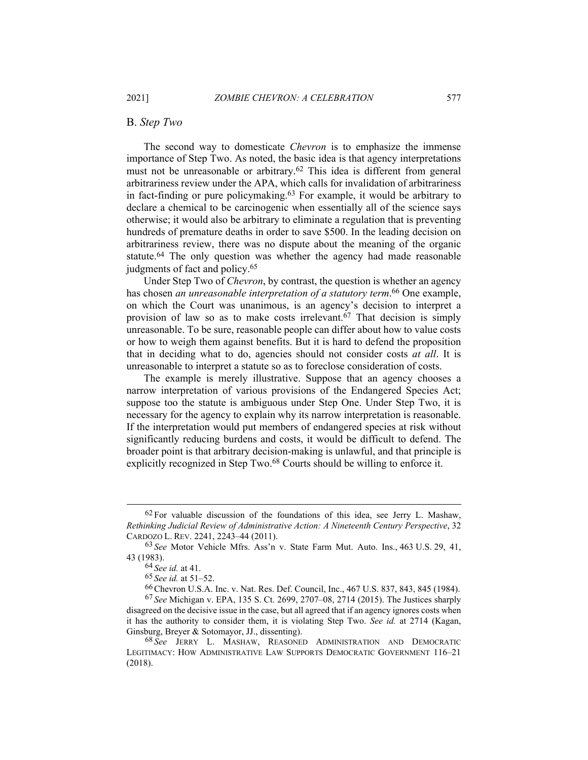### B. *Step Two*

The second way to domesticate *Chevron* is to emphasize the immense importance of Step Two. As noted, the basic idea is that agency interpretations must not be unreasonable or arbitrary.62 This idea is different from general arbitrariness review under the APA, which calls for invalidation of arbitrariness in fact-finding or pure policymaking.63 For example, it would be arbitrary to declare a chemical to be carcinogenic when essentially all of the science says otherwise; it would also be arbitrary to eliminate a regulation that is preventing hundreds of premature deaths in order to save \$500. In the leading decision on arbitrariness review, there was no dispute about the meaning of the organic statute.64 The only question was whether the agency had made reasonable judgments of fact and policy.<sup>65</sup>

Under Step Two of *Chevron*, by contrast, the question is whether an agency has chosen *an unreasonable interpretation of a statutory term*. 66 One example, on which the Court was unanimous, is an agency's decision to interpret a provision of law so as to make costs irrelevant.<sup>67</sup> That decision is simply unreasonable. To be sure, reasonable people can differ about how to value costs or how to weigh them against benefits. But it is hard to defend the proposition that in deciding what to do, agencies should not consider costs *at all*. It is unreasonable to interpret a statute so as to foreclose consideration of costs.

The example is merely illustrative. Suppose that an agency chooses a narrow interpretation of various provisions of the Endangered Species Act; suppose too the statute is ambiguous under Step One. Under Step Two, it is necessary for the agency to explain why its narrow interpretation is reasonable. If the interpretation would put members of endangered species at risk without significantly reducing burdens and costs, it would be difficult to defend. The broader point is that arbitrary decision-making is unlawful, and that principle is explicitly recognized in Step Two.<sup>68</sup> Courts should be willing to enforce it.

 $62$  For valuable discussion of the foundations of this idea, see Jerry L. Mashaw, *Rethinking Judicial Review of Administrative Action: A Nineteenth Century Perspective*, 32 CARDOZO L. REV. 2241, 2243–44 (2011).

<sup>63</sup> *See* Motor Vehicle Mfrs. Ass'n v. State Farm Mut. Auto. Ins., 463 U.S. 29, 41, 43 (1983).

<sup>64</sup> *See id.* at 41.

<sup>65</sup> *See id.* at 51–52.

<sup>66</sup> Chevron U.S.A. Inc. v. Nat. Res. Def. Council, Inc., 467 U.S. 837, 843, 845 (1984). 67 *See* Michigan v. EPA, 135 S. Ct. 2699, 2707–08, 2714 (2015). The Justices sharply disagreed on the decisive issue in the case, but all agreed that if an agency ignores costs when it has the authority to consider them, it is violating Step Two. *See id.* at 2714 (Kagan, Ginsburg, Breyer & Sotomayor, JJ., dissenting).

<sup>68</sup> *See* JERRY L. MASHAW, REASONED ADMINISTRATION AND DEMOCRATIC LEGITIMACY: HOW ADMINISTRATIVE LAW SUPPORTS DEMOCRATIC GOVERNMENT 116–21 (2018).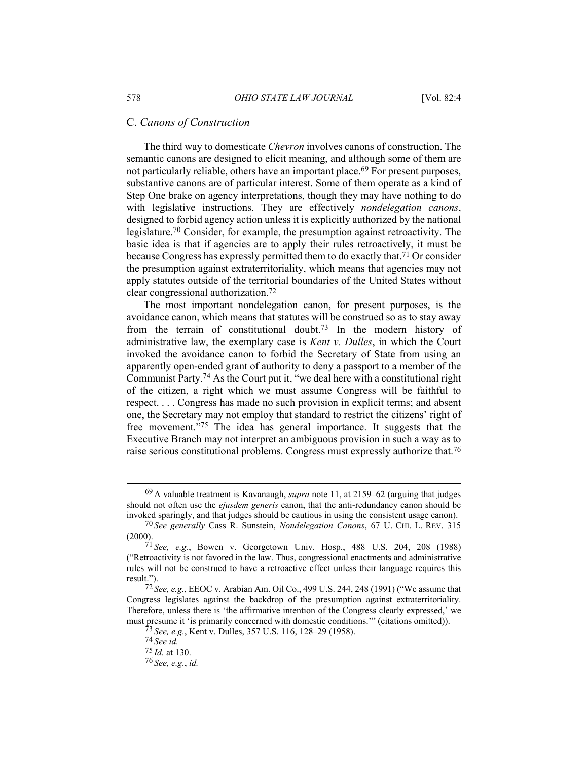## C. *Canons of Construction*

The third way to domesticate *Chevron* involves canons of construction. The semantic canons are designed to elicit meaning, and although some of them are not particularly reliable, others have an important place.<sup>69</sup> For present purposes, substantive canons are of particular interest. Some of them operate as a kind of Step One brake on agency interpretations, though they may have nothing to do with legislative instructions. They are effectively *nondelegation canons*, designed to forbid agency action unless it is explicitly authorized by the national legislature.70 Consider, for example, the presumption against retroactivity. The basic idea is that if agencies are to apply their rules retroactively, it must be because Congress has expressly permitted them to do exactly that.71 Or consider the presumption against extraterritoriality, which means that agencies may not apply statutes outside of the territorial boundaries of the United States without clear congressional authorization.72

The most important nondelegation canon, for present purposes, is the avoidance canon, which means that statutes will be construed so as to stay away from the terrain of constitutional doubt.73 In the modern history of administrative law, the exemplary case is *Kent v. Dulles*, in which the Court invoked the avoidance canon to forbid the Secretary of State from using an apparently open-ended grant of authority to deny a passport to a member of the Communist Party.74 As the Court put it, "we deal here with a constitutional right of the citizen, a right which we must assume Congress will be faithful to respect. . . . Congress has made no such provision in explicit terms; and absent one, the Secretary may not employ that standard to restrict the citizens' right of free movement."75 The idea has general importance. It suggests that the Executive Branch may not interpret an ambiguous provision in such a way as to raise serious constitutional problems. Congress must expressly authorize that.<sup>76</sup>

<sup>69</sup> A valuable treatment is Kavanaugh, *supra* note 11, at 2159–62 (arguing that judges should not often use the *ejusdem generis* canon, that the anti-redundancy canon should be invoked sparingly, and that judges should be cautious in using the consistent usage canon).

<sup>70</sup> *See generally* Cass R. Sunstein, *Nondelegation Canons*, 67 U. CHI. L. REV. 315 (2000).

<sup>71</sup> *See, e.g.*, Bowen v. Georgetown Univ. Hosp., 488 U.S. 204, 208 (1988) ("Retroactivity is not favored in the law. Thus, congressional enactments and administrative rules will not be construed to have a retroactive effect unless their language requires this result.").

<sup>72</sup> *See, e.g.*, EEOC v. Arabian Am. Oil Co., 499 U.S. 244, 248 (1991) ("We assume that Congress legislates against the backdrop of the presumption against extraterritoriality. Therefore, unless there is 'the affirmative intention of the Congress clearly expressed,' we must presume it 'is primarily concerned with domestic conditions.'" (citations omitted)).

<sup>73</sup> *See, e.g.*, Kent v. Dulles, 357 U.S. 116, 128–29 (1958).

<sup>74</sup> *See id.* 

<sup>75</sup> *Id.* at 130.

<sup>76</sup> *See, e.g.*, *id.*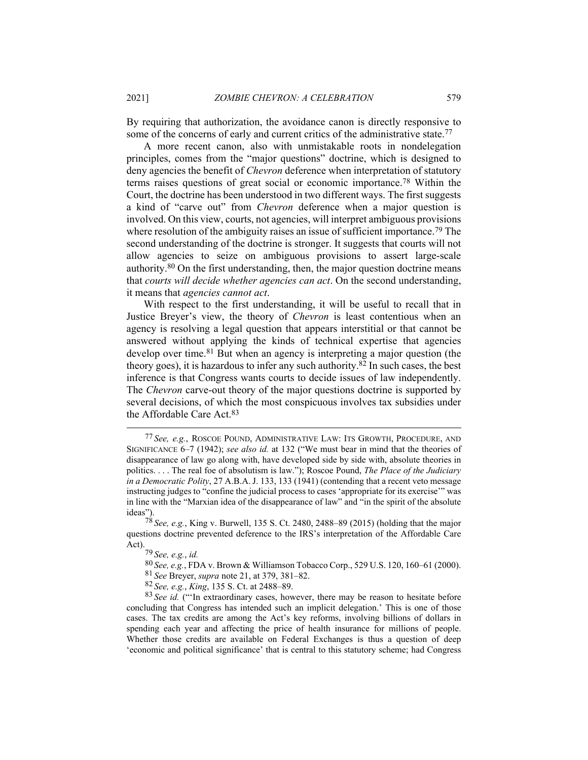By requiring that authorization, the avoidance canon is directly responsive to some of the concerns of early and current critics of the administrative state.<sup>77</sup>

A more recent canon, also with unmistakable roots in nondelegation principles, comes from the "major questions" doctrine, which is designed to deny agencies the benefit of *Chevron* deference when interpretation of statutory terms raises questions of great social or economic importance.78 Within the Court, the doctrine has been understood in two different ways. The first suggests a kind of "carve out" from *Chevron* deference when a major question is involved. On this view, courts, not agencies, will interpret ambiguous provisions where resolution of the ambiguity raises an issue of sufficient importance.<sup>79</sup> The second understanding of the doctrine is stronger. It suggests that courts will not allow agencies to seize on ambiguous provisions to assert large-scale authority.80 On the first understanding, then, the major question doctrine means that *courts will decide whether agencies can act*. On the second understanding, it means that *agencies cannot act*.

With respect to the first understanding, it will be useful to recall that in Justice Breyer's view, the theory of *Chevron* is least contentious when an agency is resolving a legal question that appears interstitial or that cannot be answered without applying the kinds of technical expertise that agencies develop over time.<sup>81</sup> But when an agency is interpreting a major question (the theory goes), it is hazardous to infer any such authority.82 In such cases, the best inference is that Congress wants courts to decide issues of law independently. The *Chevron* carve-out theory of the major questions doctrine is supported by several decisions, of which the most conspicuous involves tax subsidies under the Affordable Care Act.83

<sup>77</sup> *See, e.g.*, ROSCOE POUND, ADMINISTRATIVE LAW: ITS GROWTH, PROCEDURE, AND SIGNIFICANCE 6–7 (1942); *see also id.* at 132 ("We must bear in mind that the theories of disappearance of law go along with, have developed side by side with, absolute theories in politics. . . . The real foe of absolutism is law."); Roscoe Pound, *The Place of the Judiciary in a Democratic Polity*, 27 A.B.A.J. 133, 133 (1941) (contending that a recent veto message instructing judges to "confine the judicial process to cases 'appropriate for its exercise'" was in line with the "Marxian idea of the disappearance of law" and "in the spirit of the absolute ideas").

<sup>78</sup> *See, e.g.*, King v. Burwell, 135 S. Ct. 2480, 2488–89 (2015) (holding that the major questions doctrine prevented deference to the IRS's interpretation of the Affordable Care Act).

<sup>79</sup> *See, e.g.*, *id.*

<sup>80</sup> *See, e.g.*, FDA v. Brown & Williamson Tobacco Corp., 529 U.S. 120, 160–61 (2000). 81 *See* Breyer, *supra* note 21, at 379, 381–82.

<sup>82</sup> *See, e.g.*, *King*, 135 S. Ct. at 2488–89.

<sup>&</sup>lt;sup>83</sup> See id. ("'In extraordinary cases, however, there may be reason to hesitate before concluding that Congress has intended such an implicit delegation.' This is one of those cases. The tax credits are among the Act's key reforms, involving billions of dollars in spending each year and affecting the price of health insurance for millions of people. Whether those credits are available on Federal Exchanges is thus a question of deep 'economic and political significance' that is central to this statutory scheme; had Congress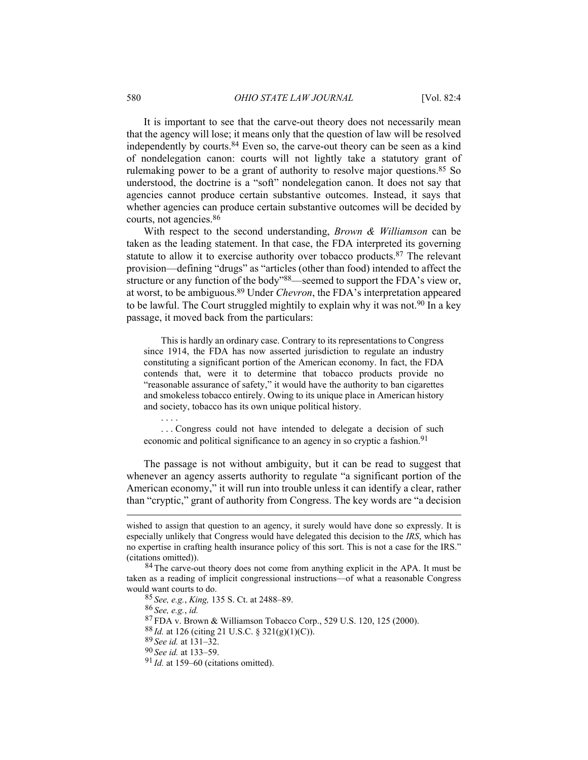It is important to see that the carve-out theory does not necessarily mean that the agency will lose; it means only that the question of law will be resolved independently by courts.84 Even so, the carve-out theory can be seen as a kind of nondelegation canon: courts will not lightly take a statutory grant of rulemaking power to be a grant of authority to resolve major questions.<sup>85</sup> So understood, the doctrine is a "soft" nondelegation canon. It does not say that agencies cannot produce certain substantive outcomes. Instead, it says that whether agencies can produce certain substantive outcomes will be decided by courts, not agencies.86

With respect to the second understanding, *Brown & Williamson* can be taken as the leading statement. In that case, the FDA interpreted its governing statute to allow it to exercise authority over tobacco products.<sup>87</sup> The relevant provision—defining "drugs" as "articles (other than food) intended to affect the structure or any function of the body"88—seemed to support the FDA's view or, at worst, to be ambiguous.89 Under *Chevron*, the FDA's interpretation appeared to be lawful. The Court struggled mightily to explain why it was not.<sup>90</sup> In a key passage, it moved back from the particulars:

This is hardly an ordinary case. Contrary to its representations to Congress since 1914, the FDA has now asserted jurisdiction to regulate an industry constituting a significant portion of the American economy. In fact, the FDA contends that, were it to determine that tobacco products provide no "reasonable assurance of safety," it would have the authority to ban cigarettes and smokeless tobacco entirely. Owing to its unique place in American history and society, tobacco has its own unique political history.

. . . Congress could not have intended to delegate a decision of such economic and political significance to an agency in so cryptic a fashion.<sup>91</sup>

The passage is not without ambiguity, but it can be read to suggest that whenever an agency asserts authority to regulate "a significant portion of the American economy," it will run into trouble unless it can identify a clear, rather than "cryptic," grant of authority from Congress. The key words are "a decision

85 *See, e.g.*, *King,* 135 S. Ct. at 2488–89.

86 *See, e.g.*, *id.*

. . . .

87 FDA v. Brown & Williamson Tobacco Corp., 529 U.S. 120, 125 (2000).

88 *Id.* at 126 (citing 21 U.S.C. § 321(g)(1)(C)).

89 *See id.* at 131–32.

90 *See id.* at 133–59.

wished to assign that question to an agency, it surely would have done so expressly. It is especially unlikely that Congress would have delegated this decision to the *IRS*, which has no expertise in crafting health insurance policy of this sort. This is not a case for the IRS." (citations omitted)).

<sup>&</sup>lt;sup>84</sup> The carve-out theory does not come from anything explicit in the APA. It must be taken as a reading of implicit congressional instructions—of what a reasonable Congress would want courts to do.

<sup>91</sup> *Id.* at 159–60 (citations omitted).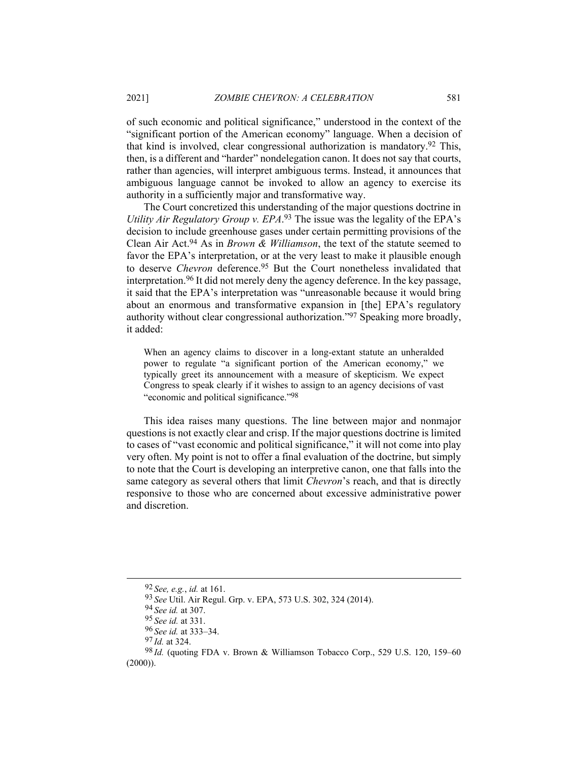of such economic and political significance," understood in the context of the "significant portion of the American economy" language. When a decision of that kind is involved, clear congressional authorization is mandatory.92 This, then, is a different and "harder" nondelegation canon. It does not say that courts, rather than agencies, will interpret ambiguous terms. Instead, it announces that ambiguous language cannot be invoked to allow an agency to exercise its authority in a sufficiently major and transformative way.

The Court concretized this understanding of the major questions doctrine in *Utility Air Regulatory Group v. EPA*. 93 The issue was the legality of the EPA's decision to include greenhouse gases under certain permitting provisions of the Clean Air Act.94 As in *Brown & Williamson*, the text of the statute seemed to favor the EPA's interpretation, or at the very least to make it plausible enough to deserve *Chevron* deference.95 But the Court nonetheless invalidated that interpretation.96 It did not merely deny the agency deference. In the key passage, it said that the EPA's interpretation was "unreasonable because it would bring about an enormous and transformative expansion in [the] EPA's regulatory authority without clear congressional authorization."97 Speaking more broadly, it added:

When an agency claims to discover in a long-extant statute an unheralded power to regulate "a significant portion of the American economy," we typically greet its announcement with a measure of skepticism. We expect Congress to speak clearly if it wishes to assign to an agency decisions of vast "economic and political significance."98

This idea raises many questions. The line between major and nonmajor questions is not exactly clear and crisp. If the major questions doctrine is limited to cases of "vast economic and political significance," it will not come into play very often. My point is not to offer a final evaluation of the doctrine, but simply to note that the Court is developing an interpretive canon, one that falls into the same category as several others that limit *Chevron*'s reach, and that is directly responsive to those who are concerned about excessive administrative power and discretion.

<sup>92</sup> *See, e.g.*, *id.* at 161.

<sup>93</sup> *See* Util. Air Regul. Grp. v. EPA, 573 U.S. 302, 324 (2014).

<sup>94</sup> *See id.* at 307.

<sup>95</sup> *See id.* at 331.

<sup>96</sup> *See id.* at 333–34.

<sup>97</sup> *Id.* at 324.

<sup>98</sup> *Id.* (quoting FDA v. Brown & Williamson Tobacco Corp., 529 U.S. 120, 159–60  $(2000)$ ).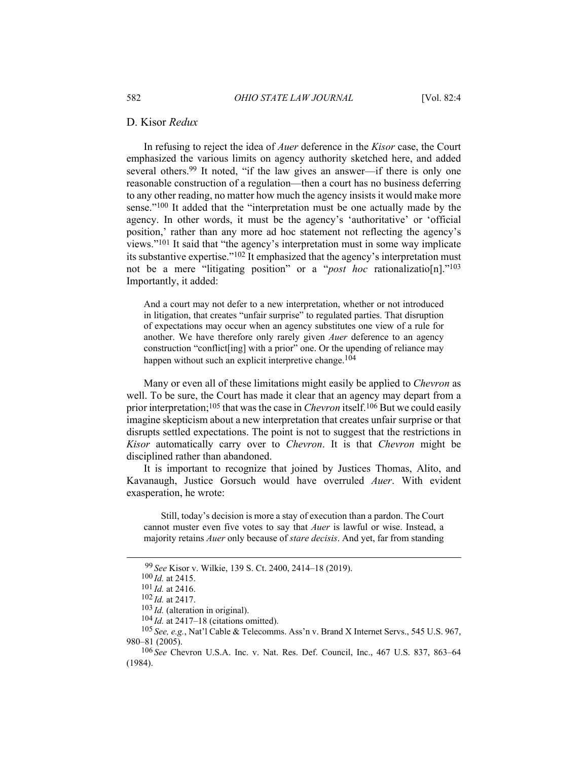#### D. Kisor *Redux*

In refusing to reject the idea of *Auer* deference in the *Kisor* case, the Court emphasized the various limits on agency authority sketched here, and added several others.99 It noted, "if the law gives an answer—if there is only one reasonable construction of a regulation—then a court has no business deferring to any other reading, no matter how much the agency insists it would make more sense."100 It added that the "interpretation must be one actually made by the agency. In other words, it must be the agency's 'authoritative' or 'official position,' rather than any more ad hoc statement not reflecting the agency's views."101 It said that "the agency's interpretation must in some way implicate its substantive expertise."102 It emphasized that the agency's interpretation must not be a mere "litigating position" or a "*post hoc* rationalizatio[n]."103 Importantly, it added:

And a court may not defer to a new interpretation, whether or not introduced in litigation, that creates "unfair surprise" to regulated parties. That disruption of expectations may occur when an agency substitutes one view of a rule for another. We have therefore only rarely given *Auer* deference to an agency construction "conflict[ing] with a prior" one. Or the upending of reliance may happen without such an explicit interpretive change.<sup>104</sup>

Many or even all of these limitations might easily be applied to *Chevron* as well. To be sure, the Court has made it clear that an agency may depart from a prior interpretation;105 that was the case in *Chevron* itself.106 But we could easily imagine skepticism about a new interpretation that creates unfair surprise or that disrupts settled expectations. The point is not to suggest that the restrictions in *Kisor* automatically carry over to *Chevron*. It is that *Chevron* might be disciplined rather than abandoned.

It is important to recognize that joined by Justices Thomas, Alito, and Kavanaugh, Justice Gorsuch would have overruled *Auer*. With evident exasperation, he wrote:

Still, today's decision is more a stay of execution than a pardon. The Court cannot muster even five votes to say that *Auer* is lawful or wise. Instead, a majority retains *Auer* only because of *stare decisis*. And yet, far from standing

<sup>99</sup> *See* Kisor v. Wilkie, 139 S. Ct. 2400, 2414–18 (2019).

<sup>100</sup> *Id.* at 2415.

<sup>101</sup> *Id.* at 2416.

<sup>102</sup> *Id.* at 2417.

<sup>103</sup> *Id.* (alteration in original).

<sup>104</sup> *Id.* at 2417–18 (citations omitted).

<sup>105</sup> *See, e.g.*, Nat'l Cable & Telecomms. Ass'n v. Brand X Internet Servs., 545 U.S. 967, 980–81 (2005).

<sup>106</sup> *See* Chevron U.S.A. Inc. v. Nat. Res. Def. Council, Inc., 467 U.S. 837, 863–64 (1984).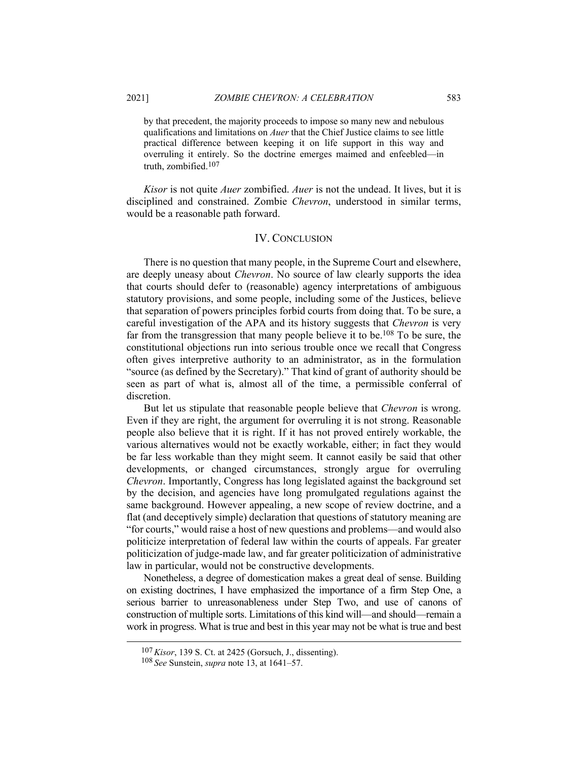by that precedent, the majority proceeds to impose so many new and nebulous qualifications and limitations on *Auer* that the Chief Justice claims to see little practical difference between keeping it on life support in this way and overruling it entirely. So the doctrine emerges maimed and enfeebled—in truth, zombified.107

*Kisor* is not quite *Auer* zombified. *Auer* is not the undead. It lives, but it is disciplined and constrained. Zombie *Chevron*, understood in similar terms, would be a reasonable path forward.

#### IV. CONCLUSION

There is no question that many people, in the Supreme Court and elsewhere, are deeply uneasy about *Chevron*. No source of law clearly supports the idea that courts should defer to (reasonable) agency interpretations of ambiguous statutory provisions, and some people, including some of the Justices, believe that separation of powers principles forbid courts from doing that. To be sure, a careful investigation of the APA and its history suggests that *Chevron* is very far from the transgression that many people believe it to be.108 To be sure, the constitutional objections run into serious trouble once we recall that Congress often gives interpretive authority to an administrator, as in the formulation "source (as defined by the Secretary)." That kind of grant of authority should be seen as part of what is, almost all of the time, a permissible conferral of discretion.

But let us stipulate that reasonable people believe that *Chevron* is wrong. Even if they are right, the argument for overruling it is not strong. Reasonable people also believe that it is right. If it has not proved entirely workable, the various alternatives would not be exactly workable, either; in fact they would be far less workable than they might seem. It cannot easily be said that other developments, or changed circumstances, strongly argue for overruling *Chevron*. Importantly, Congress has long legislated against the background set by the decision, and agencies have long promulgated regulations against the same background. However appealing, a new scope of review doctrine, and a flat (and deceptively simple) declaration that questions of statutory meaning are "for courts," would raise a host of new questions and problems—and would also politicize interpretation of federal law within the courts of appeals. Far greater politicization of judge-made law, and far greater politicization of administrative law in particular, would not be constructive developments.

Nonetheless, a degree of domestication makes a great deal of sense. Building on existing doctrines, I have emphasized the importance of a firm Step One, a serious barrier to unreasonableness under Step Two, and use of canons of construction of multiple sorts. Limitations of this kind will—and should—remain a work in progress. What is true and best in this year may not be what is true and best

<sup>107</sup>*Kisor*, 139 S. Ct. at 2425 (Gorsuch, J., dissenting).

<sup>108</sup> *See* Sunstein, *supra* note 13, at 1641–57.